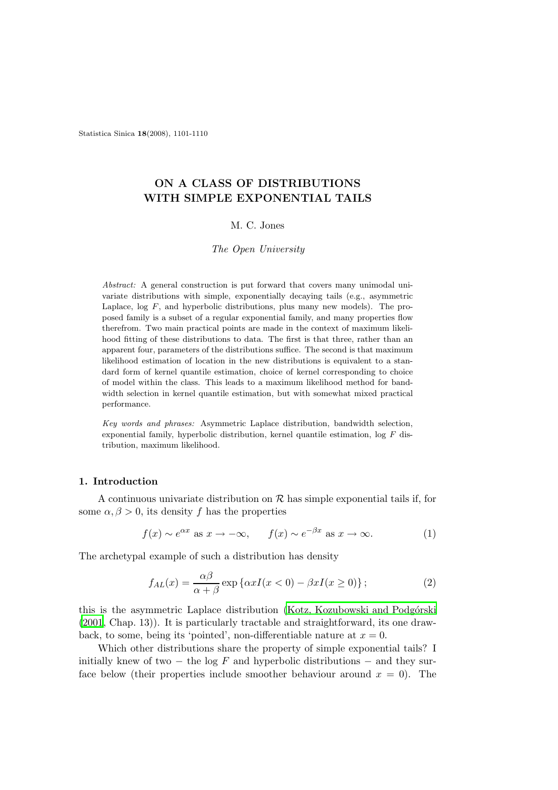Statistica Sinica 18(2008), 1101-1110

# ON A CLASS OF DISTRIBUTIONS WITH SIMPLE EXPONENTIAL TAILS

# M. C. Jones

#### The Open University

Abstract: A general construction is put forward that covers many unimodal univariate distributions with simple, exponentially decaying tails (e.g., asymmetric Laplace,  $log F$ , and hyperbolic distributions, plus many new models). The proposed family is a subset of a regular exponential family, and many properties flow therefrom. Two main practical points are made in the context of maximum likelihood fitting of these distributions to data. The first is that three, rather than an apparent four, parameters of the distributions suffice. The second is that maximum likelihood estimation of location in the new distributions is equivalent to a standard form of kernel quantile estimation, choice of kernel corresponding to choice of model within the class. This leads to a maximum likelihood method for bandwidth selection in kernel quantile estimation, but with somewhat mixed practical performance.

Key words and phrases: Asymmetric Laplace distribution, bandwidth selection, exponential family, hyperbolic distribution, kernel quantile estimation, log F distribution, maximum likelihood.

#### 1. Introduction

A continuous univariate distribution on  $\mathcal R$  has simple exponential tails if, for some  $\alpha, \beta > 0$ , its density f has the properties

$$
f(x) \sim e^{\alpha x}
$$
 as  $x \to -\infty$ ,  $f(x) \sim e^{-\beta x}$  as  $x \to \infty$ . (1)

The archetypal example of such a distribution has density

$$
f_{AL}(x) = \frac{\alpha \beta}{\alpha + \beta} \exp \{ \alpha x I(x < 0) - \beta x I(x \ge 0) \};
$$
\n(2)

this is the asymmetric Laplace distribution (Kotz, Kozubowski and Podgórski [\(2001](#page-9-0), Chap. 13)). It is particularly tractable and straightforward, its one drawback, to some, being its 'pointed', non-differentiable nature at  $x = 0$ .

Which other distributions share the property of simple exponential tails? I initially knew of two  $-$  the log F and hyperbolic distributions  $-$  and they surface below (their properties include smoother behaviour around  $x = 0$ ). The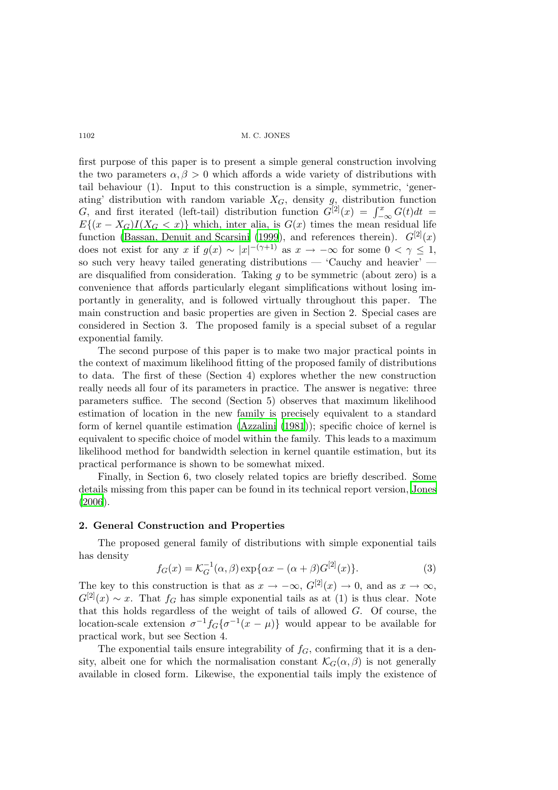first purpose of this paper is to present a simple general construction involving the two parameters  $\alpha, \beta > 0$  which affords a wide variety of distributions with tail behaviour (1). Input to this construction is a simple, symmetric, 'generating' distribution with random variable  $X_G$ , density g, distribution function G, and first iterated (left-tail) distribution function  $G^{[2]}(x) = \int_{-\infty}^{x} G(t)dt =$  $E\{(x-X_G)I(X_G < x)\}\$  which, inter alia, is  $G(x)$  times the mean residual life function [\(Bassan, Denuit and Scarsini \(1999](#page-8-0)), and references therein).  $G^{[2]}(x)$ does not exist for any x if  $g(x) \sim |x|^{-(\gamma+1)}$  as  $x \to -\infty$  for some  $0 < \gamma \le 1$ , so such very heavy tailed generating distributions — 'Cauchy and heavier' are disqualified from consideration. Taking  $g$  to be symmetric (about zero) is a convenience that affords particularly elegant simplifications without losing importantly in generality, and is followed virtually throughout this paper. The main construction and basic properties are given in Section 2. Special cases are considered in Section 3. The proposed family is a special subset of a regular exponential family.

The second purpose of this paper is to make two major practical points in the context of maximum likelihood fitting of the proposed family of distributions to data. The first of these (Section 4) explores whether the new construction really needs all four of its parameters in practice. The answer is negative: three parameters suffice. The second (Section 5) observes that maximum likelihood estimation of location in the new family is precisely equivalent to a standard form of kernel quantile estimation [\(Azzalini \(1981](#page-8-1))); specific choice of kernel is equivalent to specific choice of model within the family. This leads to a maximum likelihood method for bandwidth selection in kernel quantile estimation, but its practical performance is shown to be somewhat mixed.

Finally, in Section 6, two closely related topics are briefly described. Some details missing from this paper can be found in its technical report version, [Jones](#page-9-1) [\(2006](#page-9-1)).

# 2. General Construction and Properties

The proposed general family of distributions with simple exponential tails has density

$$
f_G(x) = \mathcal{K}_G^{-1}(\alpha, \beta) \exp{\{\alpha x - (\alpha + \beta)G^{[2]}(x)\}}.
$$
 (3)

The key to this construction is that as  $x \to -\infty$ ,  $G^{[2]}(x) \to 0$ , and as  $x \to \infty$ ,  $G^{[2]}(x) \sim x$ . That  $f_G$  has simple exponential tails as at (1) is thus clear. Note that this holds regardless of the weight of tails of allowed G. Of course, the location-scale extension  $\sigma^{-1} f_G \{ \sigma^{-1}(x - \mu) \}$  would appear to be available for practical work, but see Section 4.

The exponential tails ensure integrability of  $f<sub>G</sub>$ , confirming that it is a density, albeit one for which the normalisation constant  $\mathcal{K}_G(\alpha, \beta)$  is not generally available in closed form. Likewise, the exponential tails imply the existence of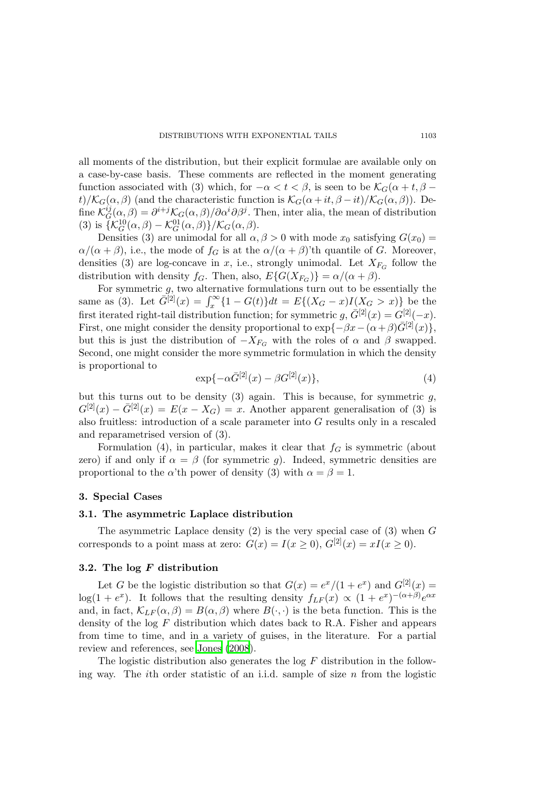all moments of the distribution, but their explicit formulae are available only on a case-by-case basis. These comments are reflected in the moment generating function associated with (3) which, for  $-\alpha < t < \beta$ , is seen to be  $\mathcal{K}_G(\alpha + t, \beta - t)$ t)/ $\mathcal{K}_G(\alpha, \beta)$  (and the characteristic function is  $\mathcal{K}_G(\alpha + it, \beta - it)/\mathcal{K}_G(\alpha, \beta)$ ). Define  $\mathcal{K}_G^{ij}$  $G_G^{ij}(\alpha,\beta) = \partial^{i+j} \mathcal{K}_G(\alpha,\beta) / \partial \alpha^i \partial \beta^j$ . Then, inter alia, the mean of distribution (3) is  $\{\mathcal{K}_G^{10}(\alpha,\beta) - \mathcal{K}_G^{01}(\alpha,\beta)\}/\mathcal{K}_G(\alpha,\beta).$ 

Densities (3) are unimodal for all  $\alpha, \beta > 0$  with mode  $x_0$  satisfying  $G(x_0)$  =  $\alpha/(\alpha + \beta)$ , i.e., the mode of  $f_G$  is at the  $\alpha/(\alpha + \beta)$ 'th quantile of G. Moreover, densities (3) are log-concave in x, i.e., strongly unimodal. Let  $X_{F_G}$  follow the distribution with density  $f_G$ . Then, also,  $E\{G(X_{F_G})\} = \alpha/(\alpha + \beta)$ .

For symmetric g, two alternative formulations turn out to be essentially the same as (3). Let  $\bar{G}^{[2]}(x) = \int_x^{\infty} \{1 - G(t)\} dt = E\{(X_G - x)I(X_G > x)\}$  be the first iterated right-tail distribution function; for symmetric  $g, \bar{G}^{[2]}(x) = G^{[2]}(-x)$ . First, one might consider the density proportional to  $\exp{-\beta x - (\alpha + \beta)\bar{G}^{[2]}(x)}$ , but this is just the distribution of  $-X_{F_G}$  with the roles of  $\alpha$  and  $\beta$  swapped. Second, one might consider the more symmetric formulation in which the density is proportional to

$$
\exp\{-\alpha \bar{G}^{[2]}(x) - \beta G^{[2]}(x)\},\tag{4}
$$

but this turns out to be density (3) again. This is because, for symmetric  $q$ ,  $G^{[2]}(x) - \overline{G}^{[2]}(x) = E(x - X_G) = x$ . Another apparent generalisation of (3) is also fruitless: introduction of a scale parameter into G results only in a rescaled and reparametrised version of (3).

Formulation (4), in particular, makes it clear that  $f<sub>G</sub>$  is symmetric (about zero) if and only if  $\alpha = \beta$  (for symmetric g). Indeed, symmetric densities are proportional to the  $\alpha$ 'th power of density (3) with  $\alpha = \beta = 1$ .

#### 3. Special Cases

# 3.1. The asymmetric Laplace distribution

The asymmetric Laplace density  $(2)$  is the very special case of  $(3)$  when G corresponds to a point mass at zero:  $G(x) = I(x \ge 0), G^{[2]}(x) = xI(x \ge 0).$ 

#### 3.2. The log F distribution

Let G be the logistic distribution so that  $G(x) = e^x/(1 + e^x)$  and  $G^{[2]}(x) =$  $log(1 + e^x)$ . It follows that the resulting density  $f_{LF}(x) \propto (1 + e^x)^{-(\alpha + \beta)} e^{\alpha x}$ and, in fact,  $\mathcal{K}_{LF}(\alpha, \beta) = B(\alpha, \beta)$  where  $B(\cdot, \cdot)$  is the beta function. This is the density of the  $log\ F$  distribution which dates back to R.A. Fisher and appears from time to time, and in a variety of guises, in the literature. For a partial review and references, see [Jones \(2008](#page-9-2)).

The logistic distribution also generates the log  $F$  distribution in the following way. The *i*th order statistic of an i.i.d. sample of size  $n$  from the logistic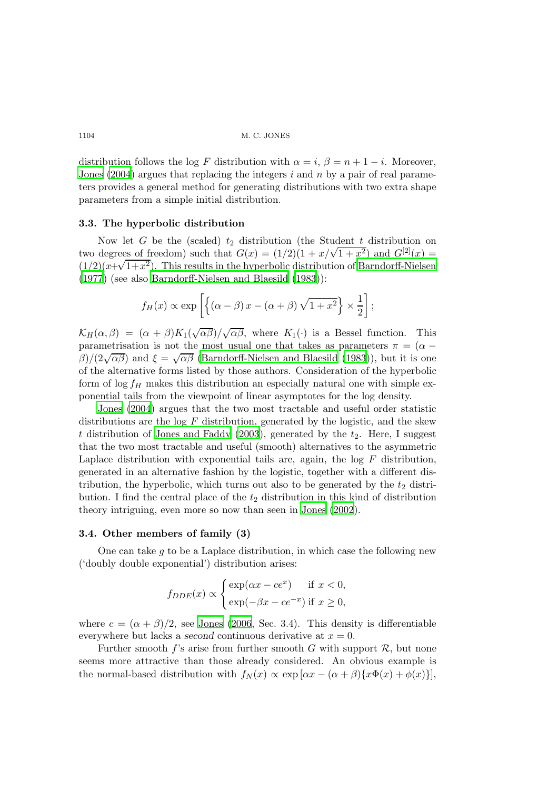distribution follows the log F distribution with  $\alpha = i$ ,  $\beta = n + 1 - i$ . Moreover, [Jones \(2004](#page-9-3)) argues that replacing the integers i and n by a pair of real parameters provides a general method for generating distributions with two extra shape parameters from a simple initial distribution.

#### 3.3. The hyperbolic distribution

Now let G be the (scaled)  $t_2$  distribution (the Student t distribution on two degrees of freedom) such that  $G(x) = (1/2)(1 + x/\sqrt{1 + x^2})$  and  $G^{[2]}(x) =$  $(1/2)(x+\sqrt{1+x^2})$ . This results in the hyperbolic distribution of [Barndorff-Nielsen](#page-8-2) [\(1977](#page-8-2)) (see also [Barndorff-Nielsen and Blaesild \(1983](#page-8-3))):

$$
f_H(x) \propto \exp \left[ \left\{ (\alpha - \beta) x - (\alpha + \beta) \sqrt{1 + x^2} \right\} \times \frac{1}{2} \right];
$$

 $\mathcal{K}_H(\alpha,\beta) = (\alpha+\beta)K_1(\sqrt{\alpha\beta})/\sqrt{\alpha\beta}$ , where  $K_1(\cdot)$  is a Bessel function. This parametrisation is not the most usual one that takes as parameters  $\pi = (\alpha \beta$ /(2 $\sqrt{\alpha\beta}$ ) and  $\xi = \sqrt{\alpha\beta}$  [\(Barndorff-Nielsen and Blaesild \(1983](#page-8-3))), but it is one of the alternative forms listed by those authors. Consideration of the hyperbolic form of  $\log f_H$  makes this distribution an especially natural one with simple exponential tails from the viewpoint of linear asymptotes for the log density.

[Jones \(2004](#page-9-3)) argues that the two most tractable and useful order statistic distributions are the  $log F$  distribution, generated by the logistic, and the skew t distribution of [Jones and Faddy \(2003](#page-9-4)), generated by the  $t_2$ . Here, I suggest that the two most tractable and useful (smooth) alternatives to the asymmetric Laplace distribution with exponential tails are, again, the log  $F$  distribution, generated in an alternative fashion by the logistic, together with a different distribution, the hyperbolic, which turns out also to be generated by the  $t_2$  distribution. I find the central place of the  $t_2$  distribution in this kind of distribution theory intriguing, even more so now than seen in [Jones \(2002](#page-9-5)).

# 3.4. Other members of family (3)

One can take  $q$  to be a Laplace distribution, in which case the following new ('doubly double exponential') distribution arises:

$$
f_{DDE}(x) \propto \begin{cases} \exp(\alpha x - ce^x) & \text{if } x < 0, \\ \exp(-\beta x - ce^{-x}) & \text{if } x \ge 0, \end{cases}
$$

where  $c = (\alpha + \beta)/2$ , see [Jones \(2006](#page-9-1), Sec. 3.4). This density is differentiable everywhere but lacks a second continuous derivative at  $x = 0$ .

Further smooth f's arise from further smooth G with support  $\mathcal{R}$ , but none seems more attractive than those already considered. An obvious example is the normal-based distribution with  $f_N(x) \propto \exp[\alpha x - (\alpha + \beta)\{x\Phi(x) + \phi(x)\}],$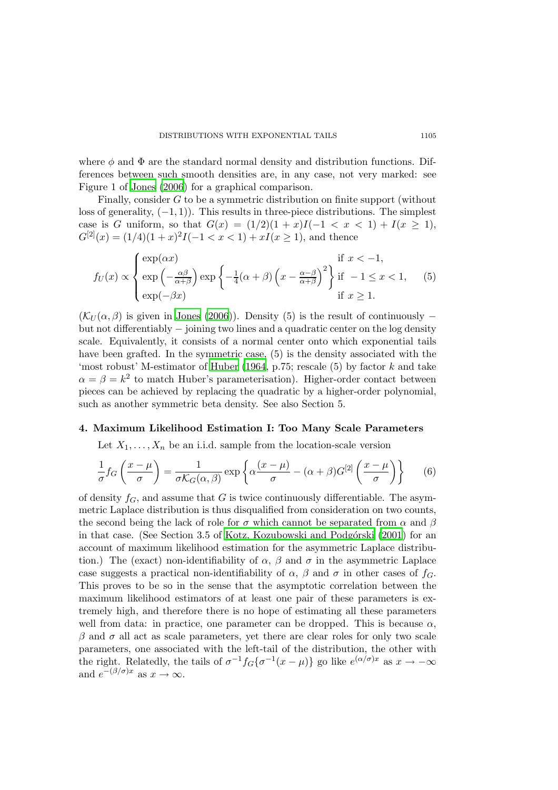where  $\phi$  and  $\Phi$  are the standard normal density and distribution functions. Differences between such smooth densities are, in any case, not very marked: see Figure 1 of [Jones \(2006\)](#page-9-1) for a graphical comparison.

Finally, consider G to be a symmetric distribution on finite support (without loss of generality,  $(-1, 1)$ ). This results in three-piece distributions. The simplest case is G uniform, so that  $G(x) = (1/2)(1+x)I(-1 < x < 1) + I(x \ge 1)$ ,  $G^{[2]}(x) = (1/4)(1+x)^2I(-1 < x < 1) + xI(x \ge 1)$ , and thence

$$
f_U(x) \propto \begin{cases} \exp(\alpha x) & \text{if } x < -1, \\ \exp(-\frac{\alpha \beta}{\alpha + \beta}) \exp\left\{-\frac{1}{4}(\alpha + \beta)\left(x - \frac{\alpha - \beta}{\alpha + \beta}\right)^2\right\} & \text{if } -1 \le x < 1, \\ \exp(-\beta x) & \text{if } x \ge 1. \end{cases}
$$
(5)

 $(\mathcal{K}_U(\alpha, \beta))$  is given in [Jones \(2006\)](#page-9-1)). Density (5) is the result of continuously – but not differentiably − joining two lines and a quadratic center on the log density scale. Equivalently, it consists of a normal center onto which exponential tails have been grafted. In the symmetric case, (5) is the density associated with the 'most robust' M-estimator of [Huber \(1964](#page-9-6), p.75; rescale  $(5)$  by factor k and take  $\alpha = \beta = k^2$  to match Huber's parameterisation). Higher-order contact between pieces can be achieved by replacing the quadratic by a higher-order polynomial, such as another symmetric beta density. See also Section 5.

#### 4. Maximum Likelihood Estimation I: Too Many Scale Parameters

Let  $X_1, \ldots, X_n$  be an i.i.d. sample from the location-scale version

$$
\frac{1}{\sigma} f_G\left(\frac{x-\mu}{\sigma}\right) = \frac{1}{\sigma \mathcal{K}_G(\alpha,\beta)} \exp\left\{\alpha \frac{(x-\mu)}{\sigma} - (\alpha+\beta)G^{[2]}\left(\frac{x-\mu}{\sigma}\right) \right\} \tag{6}
$$

of density  $f_G$ , and assume that G is twice continuously differentiable. The asymmetric Laplace distribution is thus disqualified from consideration on two counts, the second being the lack of role for  $\sigma$  which cannot be separated from  $\alpha$  and  $\beta$ in that case. (See Section 3.5 of Kotz, Kozubowski and Podgórski (2001) for an account of maximum likelihood estimation for the asymmetric Laplace distribution.) The (exact) non-identifiability of  $\alpha$ ,  $\beta$  and  $\sigma$  in the asymmetric Laplace case suggests a practical non-identifiability of  $\alpha$ ,  $\beta$  and  $\sigma$  in other cases of  $f_G$ . This proves to be so in the sense that the asymptotic correlation between the maximum likelihood estimators of at least one pair of these parameters is extremely high, and therefore there is no hope of estimating all these parameters well from data: in practice, one parameter can be dropped. This is because  $\alpha$ ,  $\beta$  and  $\sigma$  all act as scale parameters, yet there are clear roles for only two scale parameters, one associated with the left-tail of the distribution, the other with the right. Relatedly, the tails of  $\sigma^{-1} f_G \{ \sigma^{-1}(x - \mu) \}$  go like  $e^{(\alpha/\sigma)x}$  as  $x \to -\infty$ and  $e^{-(\beta/\sigma)x}$  as  $x \to \infty$ .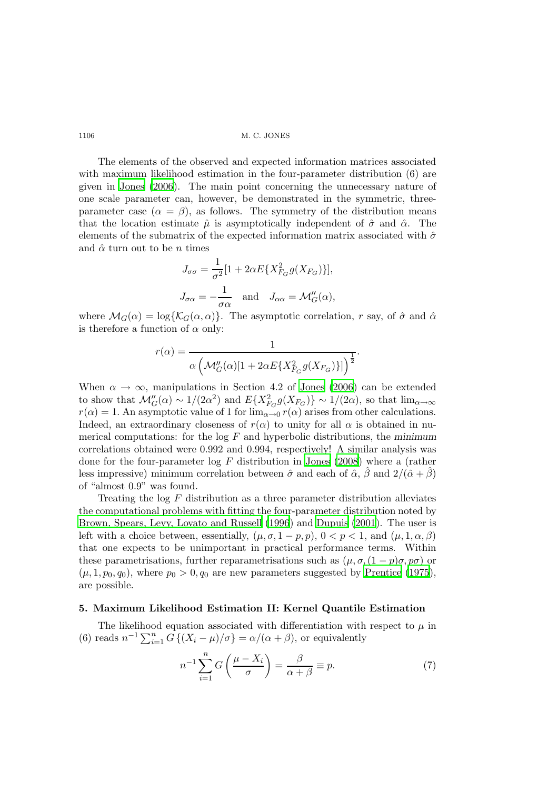The elements of the observed and expected information matrices associated with maximum likelihood estimation in the four-parameter distribution (6) are given in [Jones \(2006](#page-9-1)). The main point concerning the unnecessary nature of one scale parameter can, however, be demonstrated in the symmetric, threeparameter case  $(\alpha = \beta)$ , as follows. The symmetry of the distribution means that the location estimate  $\hat{\mu}$  is asymptotically independent of  $\hat{\sigma}$  and  $\hat{\alpha}$ . The elements of the submatrix of the expected information matrix associated with  $\hat{\sigma}$ and  $\hat{\alpha}$  turn out to be *n* times

$$
J_{\sigma\sigma} = \frac{1}{\sigma^2} [1 + 2\alpha E\{X_{F_G}^2 g(X_{F_G})\}],
$$
  

$$
J_{\sigma\alpha} = -\frac{1}{\sigma\alpha} \quad \text{and} \quad J_{\alpha\alpha} = \mathcal{M}_G''(\alpha),
$$

where  $\mathcal{M}_G(\alpha) = \log{\{\mathcal{K}_G(\alpha,\alpha)\}}$ . The asymptotic correlation, r say, of  $\hat{\sigma}$  and  $\hat{\alpha}$ is therefore a function of  $\alpha$  only:

$$
r(\alpha) = \frac{1}{\alpha \left(\mathcal{M}_G''(\alpha)[1 + 2\alpha E\{X_{F_G}^2 g(X_{F_G})\}]\right)^{\frac{1}{2}}}.
$$

When  $\alpha \to \infty$ , manipulations in Section 4.2 of [Jones \(2006\)](#page-9-1) can be extended to show that  $\mathcal{M}_{G}''(\alpha) \sim 1/(2\alpha^2)$  and  $E\{X_{F_G}^2 g(X_{F_G})\} \sim 1/(2\alpha)$ , so that  $\lim_{\alpha \to \infty}$  $r(\alpha) = 1$ . An asymptotic value of 1 for  $\lim_{\alpha \to 0} r(\alpha)$  arises from other calculations. Indeed, an extraordinary closeness of  $r(\alpha)$  to unity for all  $\alpha$  is obtained in numerical computations: for the  $log F$  and hyperbolic distributions, the minimum correlations obtained were 0.992 and 0.994, respectively! A similar analysis was done for the four-parameter log F distribution in [Jones \(2008](#page-9-2)) where a (rather less impressive) minimum correlation between  $\hat{\sigma}$  and each of  $\hat{\alpha}$ ,  $\beta$  and  $2/(\hat{\alpha} + \beta)$ of "almost 0.9" was found.

Treating the  $log\ F$  distribution as a three parameter distribution alleviates the computational problems with fitting the four-parameter distribution noted by [Brown, Spears, Levy, Lovato and Russell \(1996\)](#page-9-7) and [Dupuis \(2001\)](#page-9-8). The user is left with a choice between, essentially,  $(\mu, \sigma, 1 - p, p)$ ,  $0 < p < 1$ , and  $(\mu, 1, \alpha, \beta)$ that one expects to be unimportant in practical performance terms. Within these parametrisations, further reparametrisations such as  $(\mu, \sigma, (1 - p)\sigma, p\sigma)$  or  $(\mu, 1, p_0, q_0)$ , where  $p_0 > 0, q_0$  are new parameters suggested by [Prentice \(1975](#page-9-9)), are possible.

#### 5. Maximum Likelihood Estimation II: Kernel Quantile Estimation

The likelihood equation associated with differentiation with respect to  $\mu$  in (6) reads  $n^{-1} \sum_{i=1}^{n} G\left\{ (X_i - \mu)/\sigma \right\} = \alpha/(\alpha + \beta)$ , or equivalently

$$
n^{-1} \sum_{i=1}^{n} G\left(\frac{\mu - X_i}{\sigma}\right) = \frac{\beta}{\alpha + \beta} \equiv p. \tag{7}
$$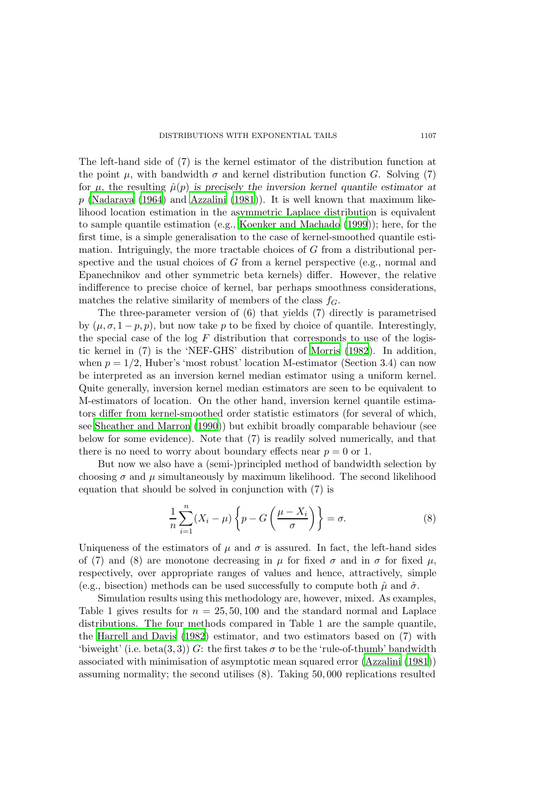The left-hand side of (7) is the kernel estimator of the distribution function at the point  $\mu$ , with bandwidth  $\sigma$  and kernel distribution function G. Solving (7) for  $\mu$ , the resulting  $\hat{\mu}(p)$  is precisely the inversion kernel quantile estimator at  $p$  [\(Nadaraya \(1964](#page-9-10)) and [Azzalini \(1981](#page-8-1))). It is well known that maximum likelihood location estimation in the asymmetric Laplace distribution is equivalent to sample quantile estimation (e.g., [Koenker and Machado \(1999](#page-9-11))); here, for the first time, is a simple generalisation to the case of kernel-smoothed quantile estimation. Intriguingly, the more tractable choices of  $G$  from a distributional perspective and the usual choices of G from a kernel perspective (e.g., normal and Epanechnikov and other symmetric beta kernels) differ. However, the relative indifference to precise choice of kernel, bar perhaps smoothness considerations, matches the relative similarity of members of the class  $f_G$ .

The three-parameter version of (6) that yields (7) directly is parametrised by  $(\mu, \sigma, 1-p, p)$ , but now take p to be fixed by choice of quantile. Interestingly, the special case of the log  $F$  distribution that corresponds to use of the logistic kernel in (7) is the 'NEF-GHS' distribution of [Morris \(1982](#page-9-12)). In addition, when  $p = 1/2$ , Huber's 'most robust' location M-estimator (Section 3.4) can now be interpreted as an inversion kernel median estimator using a uniform kernel. Quite generally, inversion kernel median estimators are seen to be equivalent to M-estimators of location. On the other hand, inversion kernel quantile estimators differ from kernel-smoothed order statistic estimators (for several of which, see [Sheather and Marron \(1990](#page-9-13))) but exhibit broadly comparable behaviour (see below for some evidence). Note that (7) is readily solved numerically, and that there is no need to worry about boundary effects near  $p = 0$  or 1.

But now we also have a (semi-)principled method of bandwidth selection by choosing  $\sigma$  and  $\mu$  simultaneously by maximum likelihood. The second likelihood equation that should be solved in conjunction with (7) is

$$
\frac{1}{n}\sum_{i=1}^{n}(X_i-\mu)\left\{p-G\left(\frac{\mu-X_i}{\sigma}\right)\right\}=\sigma.
$$
\n(8)

Uniqueness of the estimators of  $\mu$  and  $\sigma$  is assured. In fact, the left-hand sides of (7) and (8) are monotone decreasing in  $\mu$  for fixed  $\sigma$  and in  $\sigma$  for fixed  $\mu$ , respectively, over appropriate ranges of values and hence, attractively, simple (e.g., bisection) methods can be used successfully to compute both  $\hat{\mu}$  and  $\hat{\sigma}$ .

Simulation results using this methodology are, however, mixed. As examples, Table 1 gives results for  $n = 25, 50, 100$  and the standard normal and Laplace distributions. The four methods compared in Table 1 are the sample quantile, the [Harrell and Davis \(1982\)](#page-9-14) estimator, and two estimators based on (7) with 'biweight' (i.e. beta(3,3)) G: the first takes  $\sigma$  to be the 'rule-of-thumb' bandwidth associated with minimisation of asymptotic mean squared error [\(Azzalini \(1981\)](#page-8-1)) assuming normality; the second utilises (8). Taking 50, 000 replications resulted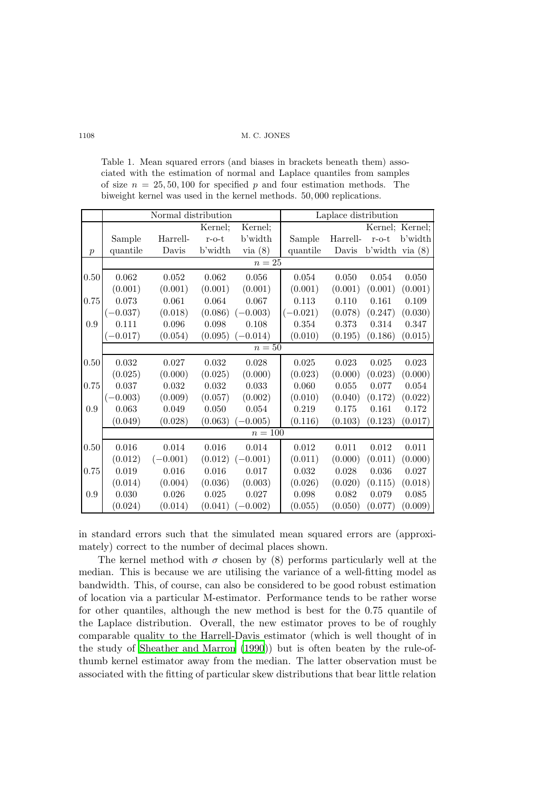Table 1. Mean squared errors (and biases in brackets beneath them) associated with the estimation of normal and Laplace quantiles from samples of size  $n = 25, 50, 100$  for specified p and four estimation methods. The biweight kernel was used in the kernel methods. 50, 000 replications.

|                  | Normal distribution |            |             |                      | Laplace distribution |           |                   |                 |
|------------------|---------------------|------------|-------------|----------------------|----------------------|-----------|-------------------|-----------------|
|                  |                     |            | Kernel;     | Kernel;              |                      |           |                   | Kernel; Kernel; |
|                  | Sample              | Harrell-   | $r$ -o- $t$ | b'width              | Sample               | Harrell-  | $r$ -o- $t$       | b'width         |
| $\boldsymbol{p}$ | quantile            | Davis      | b'width     | via(8)               | quantile             | Davis     | b'width via $(8)$ |                 |
|                  | $n=25$              |            |             |                      |                      |           |                   |                 |
| 0.50             | 0.062               | 0.052      | 0.062       | 0.056                | 0.054                | 0.050     | 0.054             | 0.050           |
|                  | (0.001)             | (0.001)    | (0.001)     | (0.001)              | (0.001)              | (0.001)   | (0.001)           | (0.001)         |
| 0.75             | 0.073               | 0.061      | 0.064       | 0.067                | 0.113                | 0.110     | 0.161             | 0.109           |
|                  | $(-0.037)$          | (0.018)    | (0.086)     | $(-0.003)$           | $(-0.021)$           | (0.078)   | (0.247)           | (0.030)         |
| 0.9              | 0.111               | 0.096      | 0.098       | 0.108                | 0.354                | 0.373     | 0.314             | 0.347           |
|                  | $-0.017)$           | (0.054)    | (0.095)     | $-0.014)$            | (0.010)              | (0.195)   | (0.186)           | (0.015)         |
|                  | $n=50$              |            |             |                      |                      |           |                   |                 |
| 0.50             | 0.032               | 0.027      | 0.032       | 0.028                | 0.025                | 0.023     | 0.025             | 0.023           |
|                  | (0.025)             | (0.000)    | (0.025)     | (0.000)              | (0.023)              | (0.000)   | (0.023)           | (0.000)         |
| 0.75             | 0.037               | 0.032      | 0.032       | 0.033                | 0.060                | $0.055\,$ | 0.077             | 0.054           |
|                  | $(-0.003)$          | (0.009)    | (0.057)     | (0.002)              | (0.010)              | (0.040)   | (0.172)           | (0.022)         |
| 0.9              | 0.063               | 0.049      | 0.050       | 0.054                | 0.219                | 0.175     | 0.161             | 0.172           |
|                  | (0.049)             | (0.028)    | (0.063)     | $-0.005$ )           | (0.116)              | (0.103)   | (0.123)           | (0.017)         |
|                  | $n=100$             |            |             |                      |                      |           |                   |                 |
| 0.50             | 0.016               | 0.014      | 0.016       | 0.014                | 0.012                | 0.011     | 0.012             | 0.011           |
|                  | (0.012)             | $(-0.001)$ |             | $(0.012)$ $(-0.001)$ | (0.011)              | (0.000)   | (0.011)           | (0.000)         |
| 0.75             | 0.019               | 0.016      | 0.016       | 0.017                | 0.032                | 0.028     | 0.036             | 0.027           |
|                  | (0.014)             | (0.004)    | (0.036)     | (0.003)              | (0.026)              | (0.020)   | (0.115)           | (0.018)         |
| 0.9              | 0.030               | 0.026      | 0.025       | 0.027                | 0.098                | 0.082     | 0.079             | 0.085           |
|                  | (0.024)             | (0.014)    | (0.041)     | $-0.002)$            | (0.055)              | (0.050)   | (0.077)           | (0.009)         |

in standard errors such that the simulated mean squared errors are (approximately) correct to the number of decimal places shown.

The kernel method with  $\sigma$  chosen by (8) performs particularly well at the median. This is because we are utilising the variance of a well-fitting model as bandwidth. This, of course, can also be considered to be good robust estimation of location via a particular M-estimator. Performance tends to be rather worse for other quantiles, although the new method is best for the 0.75 quantile of the Laplace distribution. Overall, the new estimator proves to be of roughly comparable quality to the Harrell-Davis estimator (which is well thought of in the study of [Sheather and Marron \(1990](#page-9-13))) but is often beaten by the rule-ofthumb kernel estimator away from the median. The latter observation must be associated with the fitting of particular skew distributions that bear little relation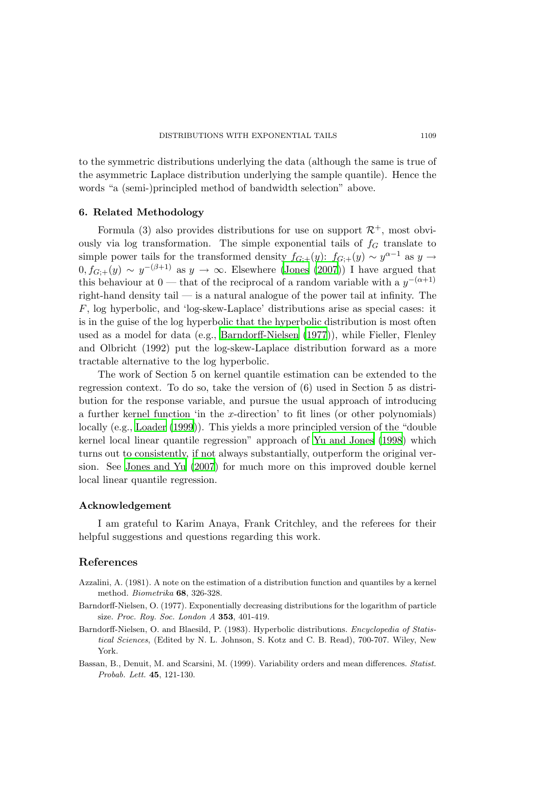to the symmetric distributions underlying the data (although the same is true of the asymmetric Laplace distribution underlying the sample quantile). Hence the words "a (semi-)principled method of bandwidth selection" above.

#### 6. Related Methodology

Formula (3) also provides distributions for use on support  $\mathcal{R}^+$ , most obviously via log transformation. The simple exponential tails of  $f<sub>G</sub>$  translate to simple power tails for the transformed density  $f_{G;+}(y)$ :  $f_{G;+}(y) \sim y^{\alpha-1}$  as  $y \to$  $0, f_{G,+}(y) \sim y^{-(\beta+1)}$  as  $y \to \infty$ . Elsewhere [\(Jones \(2007](#page-9-15))) I have argued that this behaviour at 0 — that of the reciprocal of a random variable with a  $y^{-(\alpha+1)}$ right-hand density tail — is a natural analogue of the power tail at infinity. The  $F$ , log hyperbolic, and 'log-skew-Laplace' distributions arise as special cases: it is in the guise of the log hyperbolic that the hyperbolic distribution is most often used as a model for data (e.g., [Barndorff-Nielsen \(1977\)](#page-8-2)), while Fieller, Flenley and Olbricht (1992) put the log-skew-Laplace distribution forward as a more tractable alternative to the log hyperbolic.

The work of Section 5 on kernel quantile estimation can be extended to the regression context. To do so, take the version of (6) used in Section 5 as distribution for the response variable, and pursue the usual approach of introducing a further kernel function 'in the x-direction' to fit lines (or other polynomials) locally (e.g., [Loader \(1999](#page-9-16))). This yields a more principled version of the "double kernel local linear quantile regression" approach of [Yu and](#page-9-17) Jones [\(1998](#page-9-17)) which turns out to consistently, if not always substantially, outperform the original version. See [Jones and Yu \(2007\)](#page-9-18) for much more on this improved double kernel local linear quantile regression.

### Acknowledgement

I am grateful to Karim Anaya, Frank Critchley, and the referees for their helpful suggestions and questions regarding this work.

# References

- <span id="page-8-1"></span>Azzalini, A. (1981). A note on the estimation of a distribution function and quantiles by a kernel method. Biometrika 68, 326-328.
- <span id="page-8-2"></span>Barndorff-Nielsen, O. (1977). Exponentially decreasing distributions for the logarithm of particle size. Proc. Roy. Soc. London A 353, 401-419.
- <span id="page-8-3"></span>Barndorff-Nielsen, O. and Blaesild, P. (1983). Hyperbolic distributions. Encyclopedia of Statistical Sciences, (Edited by N. L. Johnson, S. Kotz and C. B. Read), 700-707. Wiley, New York.
- <span id="page-8-0"></span>Bassan, B., Denuit, M. and Scarsini, M. (1999). Variability orders and mean differences. Statist. Probab. Lett. 45, 121-130.